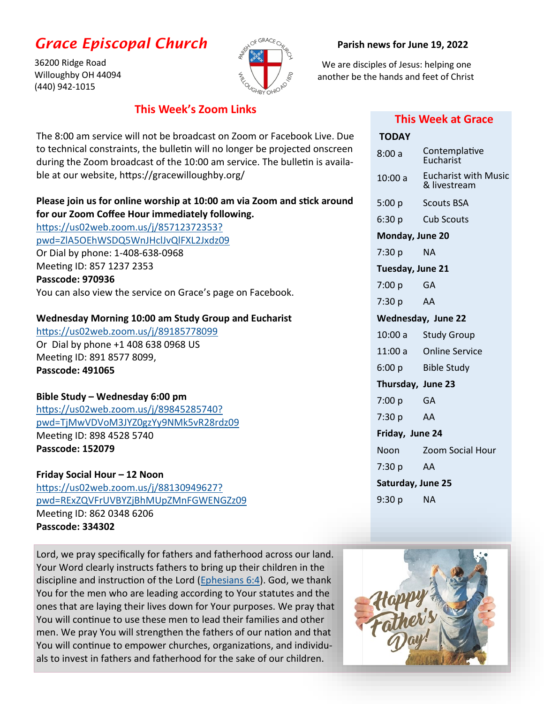# *Grace Episcopal Church*

36200 Ridge Road Willoughby OH 44094 (440) 942-1015



#### **Parish news for June 19, 2022**

 We are disciples of Jesus: helping one another be the hands and feet of Christ

### **This Week's Zoom Links**

The 8:00 am service will not be broadcast on Zoom or Facebook Live. Due to technical constraints, the bulletin will no longer be projected onscreen during the Zoom broadcast of the 10:00 am service. The bulletin is available at our website, https://gracewilloughby.org/

## **Please join us for online worship at 10:00 am via Zoom and stick around for our Zoom Coffee Hour immediately following.**

[https://us02web.zoom.us/j/85712372353?](https://us02web.zoom.us/j/85712372353?pwd=ZlA5OEhWSDQ5WnJHclJvQlFXL2Jxdz09) [pwd=ZlA5OEhWSDQ5WnJHclJvQlFXL2Jxdz09](https://us02web.zoom.us/j/85712372353?pwd=ZlA5OEhWSDQ5WnJHclJvQlFXL2Jxdz09) Or Dial by phone: 1-408-638-0968 Meeting ID: 857 1237 2353 **Passcode: 970936** You can also view the service on Grace's page on Facebook.

### **Wednesday Morning 10:00 am Study Group and Eucharist**

<https://us02web.zoom.us/j/89185778099> Or Dial by phone +1 408 638 0968 US Meeting ID: 891 8577 8099, **Passcode: 491065**

### **Bible Study – Wednesday 6:00 pm**

[https://us02web.zoom.us/j/89845285740?](https://us02web.zoom.us/j/89845285740?pwd=TjMwVDVoM3JYZ0gzYy9NMk5vR28rdz09) [pwd=TjMwVDVoM3JYZ0gzYy9NMk5vR28rdz09](https://us02web.zoom.us/j/89845285740?pwd=TjMwVDVoM3JYZ0gzYy9NMk5vR28rdz09) Meeting ID: 898 4528 5740 **Passcode: 152079**

**Friday Social Hour – 12 Noon** [https://us02web.zoom.us/j/88130949627?](https://us02web.zoom.us/j/88130949627?pwd=RExZQVFrUVBYZjBhMUpZMnFGWENGZz09) [pwd=RExZQVFrUVBYZjBhMUpZMnFGWENGZz09](https://us02web.zoom.us/j/88130949627?pwd=RExZQVFrUVBYZjBhMUpZMnFGWENGZz09) Meeting ID: 862 0348 6206 **Passcode: 334302**

Lord, we pray specifically for fathers and fatherhood across our land. Your Word clearly instructs fathers to bring up their children in the discipline and instruction of the Lord ([Ephesians 6:4\)](https://www.biblestudytools.com/ephesians/6-4.html). God, we thank You for the men who are leading according to Your statutes and the ones that are laying their lives down for Your purposes. We pray that You will continue to use these men to lead their families and other men. We pray You will strengthen the fathers of our nation and that You will continue to empower churches, organizations, and individuals to invest in fathers and fatherhood for the sake of our children.

### **This Week at Grace**

| TODAY              |                                             |  |
|--------------------|---------------------------------------------|--|
| 8:00a              | Contemplative<br>Eucharist                  |  |
| 10:00a             | <b>Eucharist with Music</b><br>& livestream |  |
| 5:00 p             | <b>Scouts BSA</b>                           |  |
| 6:30 p             | Cub Scouts                                  |  |
| Monday, June 20    |                                             |  |
| 7:30 p             | <b>NA</b>                                   |  |
| Tuesday, June 21   |                                             |  |
| 7:00 p             | - GA                                        |  |
| 7:30 p             | AA                                          |  |
| Wednesday, June 22 |                                             |  |
| 10:00 a            | <b>Study Group</b>                          |  |
|                    | 11:00 a Online Service                      |  |
|                    | 6:00 p Bible Study                          |  |
| Thursday, June 23  |                                             |  |
| 7:00 p             | GA                                          |  |
| 7:30 p             | AA                                          |  |
| Friday, June 24    |                                             |  |
| Noon               | <b>Zoom Social Hour</b>                     |  |
| 7:30 p             | AA                                          |  |
| Saturday, June 25  |                                             |  |
| 9:30 p             | <b>NA</b>                                   |  |